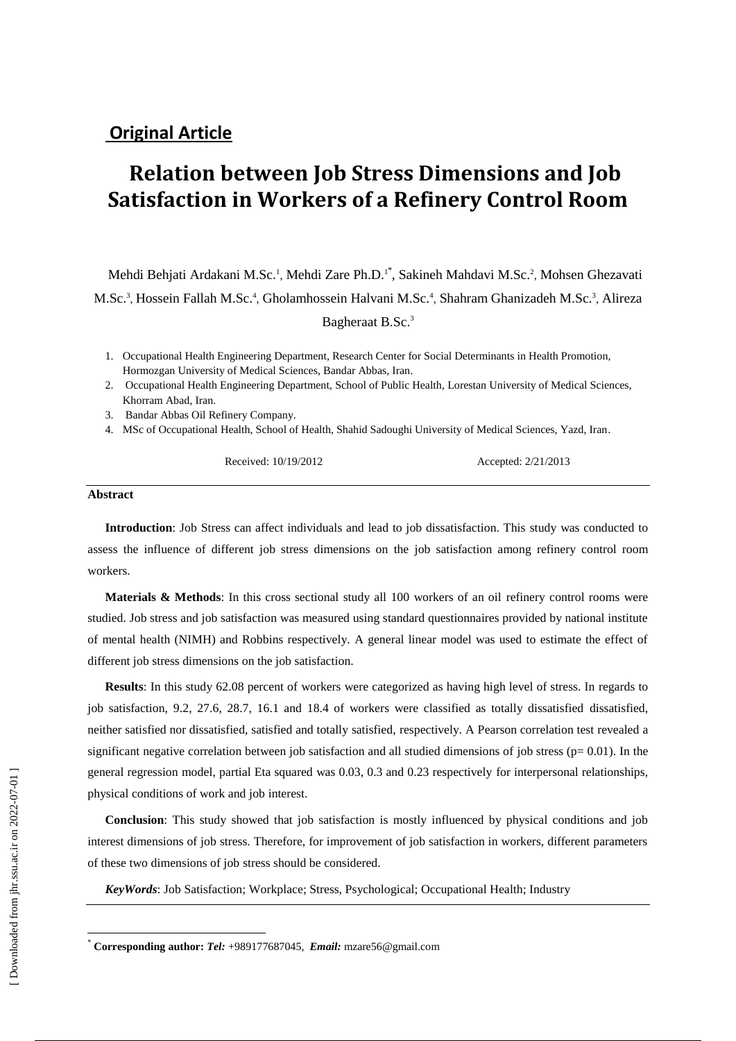# **Original Article**

# **Relation between Job Stress Dimensions and Job Satisfaction in Workers of a Refinery Control Room**

Mehdi Behjati Ardakani M.Sc.<sup>1</sup>, Mehdi Zare Ph.D.<sup>1\*</sup>, Sakineh Mahdavi M.Sc.<sup>2</sup>, Mohsen Ghezavati M.Sc.<sup>3</sup>, Hossein Fallah M.Sc.<sup>4</sup>, Gholamhossein Halvani M.Sc.<sup>4</sup>, Shahram Ghanizadeh M.Sc.<sup>3</sup>, Alireza Bagheraat B.Sc.<sup>3</sup>

- 1. Occupational Health Engineering Department, Research Center for Social Determinants in Health Promotion, Hormozgan University of Medical Sciences, Bandar Abbas, Iran.
- 2. Occupational Health Engineering Department, School of Public Health, Lorestan University of Medical Sciences, Khorram Abad, Iran.
- 3. Bandar Abbas Oil Refinery Company.
- 4. MSc of Occupational Health, School of Health, Shahid Sadoughi University of Medical Sciences, Yazd, Iran.

Received: 10/19/2012 Accepted: 2/21/2013

#### **Abstract**

**Introduction**: Job Stress can affect individuals and lead to job dissatisfaction. This study was conducted to assess the influence of different job stress dimensions on the job satisfaction among refinery control room workers.

**Materials & Methods**: In this cross sectional study all 100 workers of an oil refinery control rooms were studied. Job stress and job satisfaction was measured using standard questionnaires provided by national institute of mental health (NIMH) and Robbins respectively. A general linear model was used to estimate the effect of different job stress dimensions on the job satisfaction.

**Results**: In this study 62.08 percent of workers were categorized as having high level of stress. In regards to job satisfaction, 9.2, 27.6, 28.7, 16.1 and 18.4 of workers were classified as totally dissatisfied dissatisfied, neither satisfied nor dissatisfied, satisfied and totally satisfied, respectively. A Pearson correlation test revealed a significant negative correlation between job satisfaction and all studied dimensions of job stress ( $p= 0.01$ ). In the general regression model, partial Eta squared was 0.03, 0.3 and 0.23 respectively for interpersonal relationships, physical conditions of work and job interest.

**Conclusion**: This study showed that job satisfaction is mostly influenced by physical conditions and job interest dimensions of job stress. Therefore, for improvement of job satisfaction in workers, different parameters of these two dimensions of job stress should be considered.

*KeyWords*: Job Satisfaction; Workplace; Stress, Psychological; Occupational Health; Industry

 $\overline{a}$ 

<sup>\*</sup> **Corresponding author:** *Tel:* +989177687045, *Email:* [mzare56@gmail.com](mailto:mzare56@gmail.com)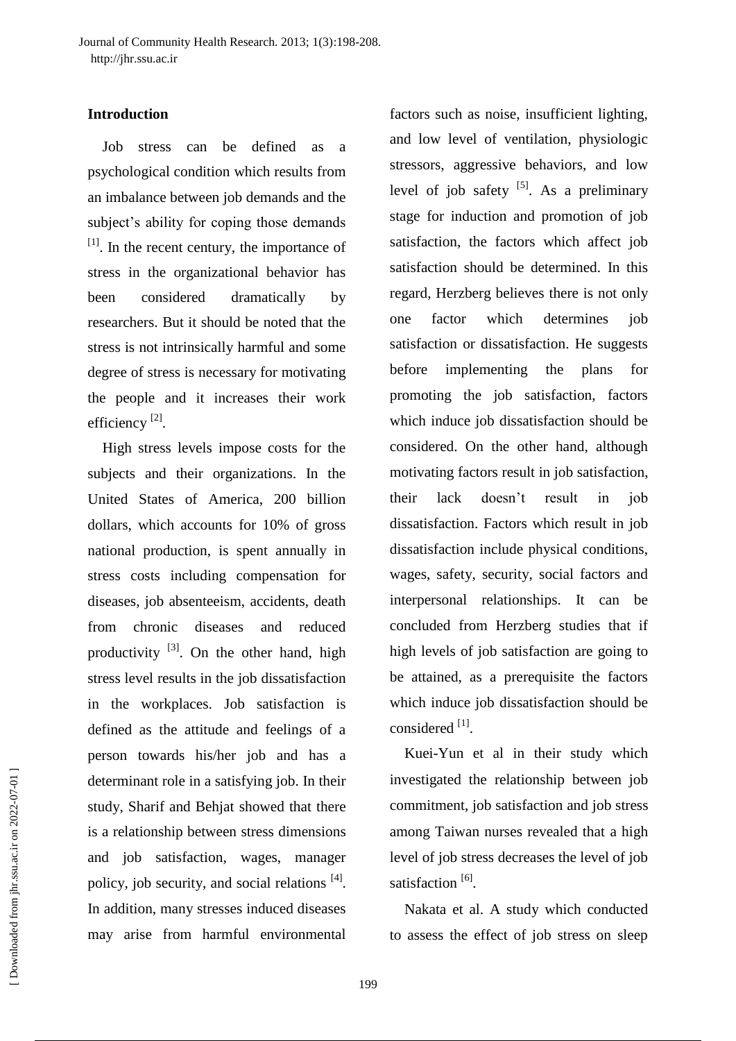# **Introduction**

Job stress can be defined as a psychological condition which results from an imbalance between job demands and the subject's ability for coping those demands  $<sup>[1]</sup>$ . In the recent century, the importance of</sup> stress in the organizational behavior has been considered dramatically by researchers. But it should be noted that the stress is not intrinsically harmful and some degree of stress is necessary for motivating the people and it increases their work efficiency<sup>[2]</sup>.

High stress levels impose costs for the subjects and their organizations. In the United States of America, 200 billion dollars, which accounts for 10% of gross national production, is spent annually in stress costs including compensation for diseases, job absenteeism, accidents, death from chronic diseases and reduced productivity  $^{[3]}$ . On the other hand, high stress level results in the job dissatisfaction in the workplaces. Job satisfaction is defined as the attitude and feelings of a person towards his/her job and has a determinant role in a satisfying job. In their study, Sharif and Behjat showed that there is a relationship between stress dimensions and job satisfaction, wages, manager policy, job security, and social relations <sup>[4]</sup>. In addition, many stresses induced diseases may arise from harmful environmental

factors such as noise, insufficient lighting, and low level of ventilation, physiologic stressors, aggressive behaviors, and low level of job safety  $[5]$ . As a preliminary stage for induction and promotion of job satisfaction, the factors which affect job satisfaction should be determined. In this regard, Herzberg believes there is not only one factor which determines job satisfaction or dissatisfaction. He suggests before implementing the plans for promoting the job satisfaction, factors which induce job dissatisfaction should be considered. On the other hand, although motivating factors result in job satisfaction, their lack doesn't result in job dissatisfaction. Factors which result in job dissatisfaction include physical conditions, wages, safety, security, social factors and interpersonal relationships. It can be concluded from Herzberg studies that if high levels of job satisfaction are going to be attained, as a prerequisite the factors which induce job dissatisfaction should be considered [1].

Kuei-Yun et al in their study which investigated the relationship between job commitment, job satisfaction and job stress among Taiwan nurses revealed that a high level of job stress decreases the level of job satisfaction<sup>[6]</sup>.

Nakata et al. A study which conducted to assess the effect of job stress on sleep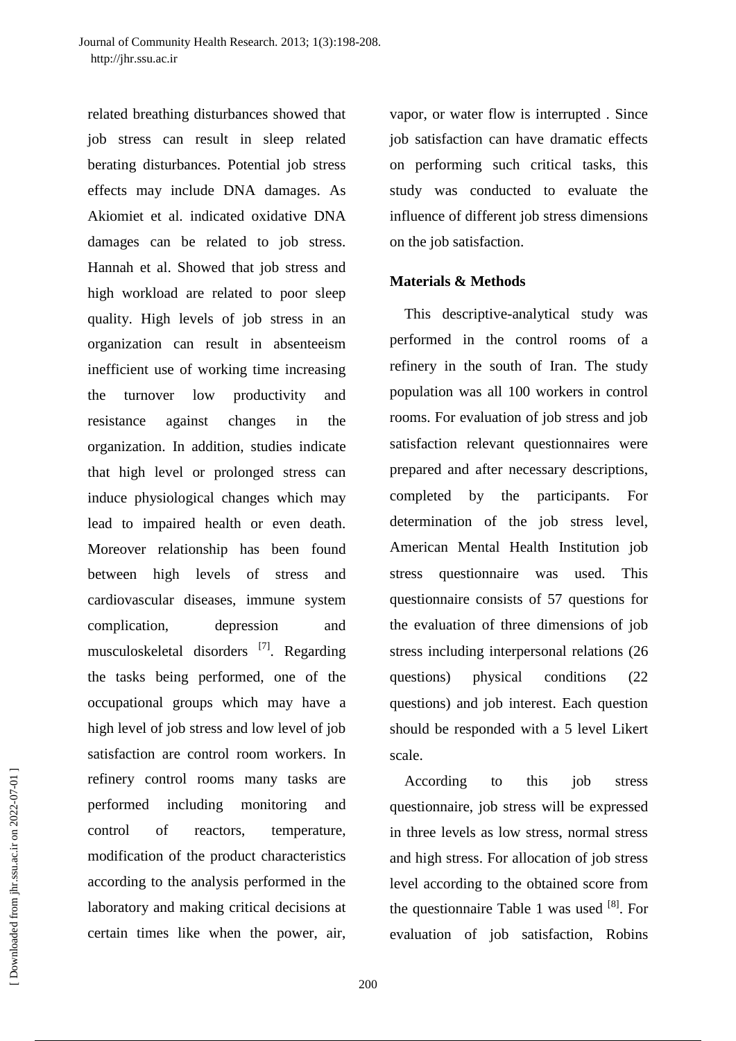related breathing disturbances showed that job stress can result in sleep related berating disturbances. Potential job stress effects may include DNA damages. As Akiomiet et al. indicated oxidative DNA damages can be related to job stress. Hannah et al. Showed that job stress and high workload are related to poor sleep quality. High levels of job stress in an organization can result in absenteeism inefficient use of working time increasing the turnover low productivity and resistance against changes in the organization. In addition, studies indicate that high level or prolonged stress can induce physiological changes which may lead to impaired health or even death. Moreover relationship has been found between high levels of stress and cardiovascular diseases, immune system complication, depression and musculoskeletal disorders<sup>[7]</sup>. Regarding the tasks being performed, one of the occupational groups which may have a high level of job stress and low level of job satisfaction are control room workers. In refinery control rooms many tasks are performed including monitoring and control of reactors, temperature, modification of the product characteristics according to the analysis performed in the laboratory and making critical decisions at certain times like when the power, air,

vapor, or water flow is interrupted . Since job satisfaction can have dramatic effects on performing such critical tasks, this study was conducted to evaluate the influence of different job stress dimensions on the job satisfaction.

#### **Materials & Methods**

This descriptive-analytical study was performed in the control rooms of a refinery in the south of Iran. The study population was all 100 workers in control rooms. For evaluation of job stress and job satisfaction relevant questionnaires were prepared and after necessary descriptions, completed by the participants. For determination of the job stress level, American Mental Health Institution job stress questionnaire was used. This questionnaire consists of 57 questions for the evaluation of three dimensions of job stress including interpersonal relations (26 questions) physical conditions (22 questions) and job interest. Each question should be responded with a 5 level Likert scale.

According to this job stress questionnaire, job stress will be expressed in three levels as low stress, normal stress and high stress. For allocation of job stress level according to the obtained score from the questionnaire Table 1 was used  $[8]$ . For evaluation of job satisfaction, Robins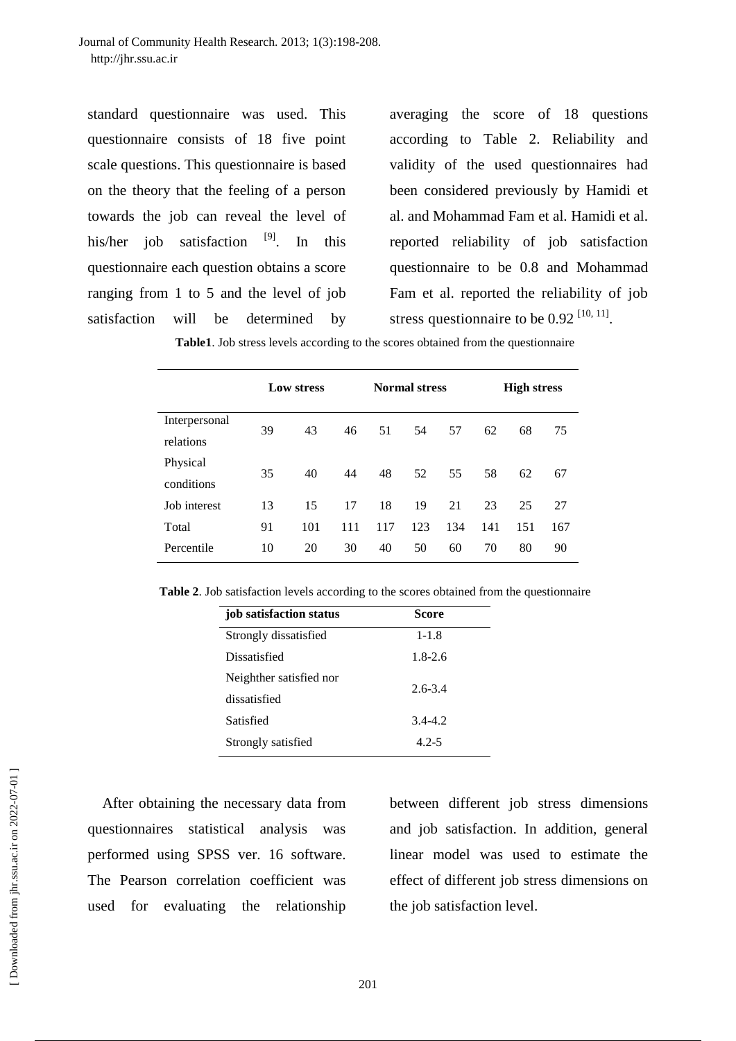standard questionnaire was used. This questionnaire consists of 18 five point scale questions. This questionnaire is based on the theory that the feeling of a person towards the job can reveal the level of his/her job satisfaction <sup>[9]</sup>. In this questionnaire each question obtains a score ranging from 1 to 5 and the level of job satisfaction will be determined by

averaging the score of 18 questions according to Table 2. Reliability and validity of the used questionnaires had been considered previously by Hamidi et al. and Mohammad Fam et al. Hamidi et al. reported reliability of job satisfaction questionnaire to be 0.8 and Mohammad Fam et al. reported the reliability of job stress questionnaire to be  $0.92$   $[10, 11]$ .

| Table1. Job stress levels according to the scores obtained from the questionnaire |  |  |
|-----------------------------------------------------------------------------------|--|--|
|-----------------------------------------------------------------------------------|--|--|

|               | Low stress |     |     | <b>Normal stress</b> |     |     | <b>High stress</b> |     |     |
|---------------|------------|-----|-----|----------------------|-----|-----|--------------------|-----|-----|
| Interpersonal | 39         | 43  | 46  | 51                   | 54  | 57  | 62                 | 68  | 75  |
| relations     |            |     |     |                      |     |     |                    |     |     |
| Physical      |            | 40  | 44  | 48                   | 52  | 55  | 58                 | 62  |     |
| conditions    | 35         |     |     |                      |     |     |                    |     | 67  |
| Job interest  | 13         | 15  | 17  | 18                   | 19  | 21  | 23                 | 25  | 27  |
| Total         | 91         | 101 | 111 | 117                  | 123 | 134 | 141                | 151 | 167 |
| Percentile    | 10         | 20  | 30  | 40                   | 50  | 60  | 70                 | 80  | 90  |

**Table 2**. Job satisfaction levels according to the scores obtained from the questionnaire

| job satisfaction status | Score       |
|-------------------------|-------------|
| Strongly dissatisfied   | $1 - 1.8$   |
| Dissatisfied            | $1.8 - 2.6$ |
| Neighther satisfied nor | $2.6 - 3.4$ |
| dissatisfied            |             |
| Satisfied               | $3.4 - 4.2$ |
| Strongly satisfied      | $4.2 - 5$   |

After obtaining the necessary data from questionnaires statistical analysis was performed using SPSS ver. 16 software. The Pearson correlation coefficient was used for evaluating the relationship

between different job stress dimensions and job satisfaction. In addition, general linear model was used to estimate the effect of different job stress dimensions on the job satisfaction level.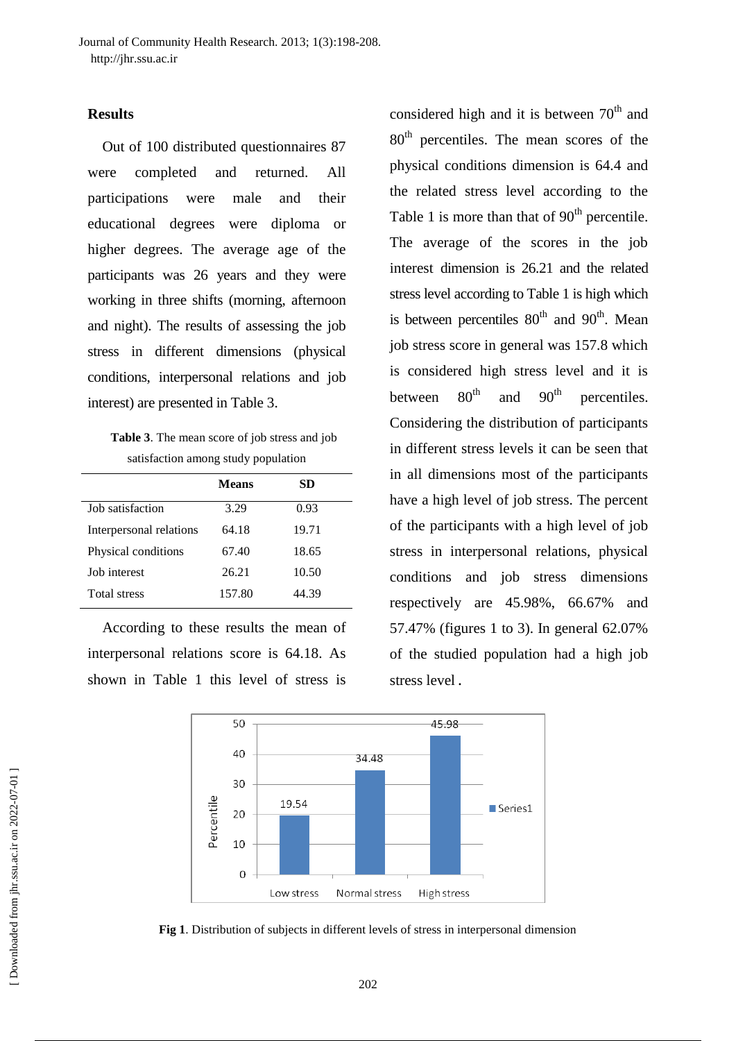# **Results**

Out of 100 distributed questionnaires 87 were completed and returned. All participations were male and their educational degrees were diploma or higher degrees. The average age of the participants was 26 years and they were working in three shifts (morning, afternoon and night). The results of assessing the job stress in different dimensions (physical conditions, interpersonal relations and job interest) are presented in Table 3.

**Table 3**. The mean score of job stress and job satisfaction among study population

|                         | <b>Means</b> | SD    |
|-------------------------|--------------|-------|
| Job satisfaction        | 3.29         | 0.93  |
| Interpersonal relations | 64.18        | 19.71 |
| Physical conditions     | 67.40        | 18.65 |
| Job interest            | 26.21        | 10.50 |
| <b>Total stress</b>     | 157.80       | 44.39 |

According to these results the mean of interpersonal relations score is 64.18. As shown in Table 1 this level of stress is

considered high and it is between  $70<sup>th</sup>$  and 80<sup>th</sup> percentiles. The mean scores of the physical conditions dimension is 64.4 and the related stress level according to the Table 1 is more than that of  $90<sup>th</sup>$  percentile. The average of the scores in the job interest dimension is 26.21 and the related stress level according to Table 1 is high which is between percentiles  $80<sup>th</sup>$  and  $90<sup>th</sup>$ . Mean job stress score in general was 157.8 which is considered high stress level and it is between  $80^{th}$  and  $90^{th}$  percentiles. Considering the distribution of participants in different stress levels it can be seen that in all dimensions most of the participants have a high level of job stress. The percent of the participants with a high level of job stress in interpersonal relations, physical conditions and job stress dimensions respectively are 45.98%, 66.67% and 57.47% (figures 1 to 3). In general 62.07% of the studied population had a high job stress level **.**



**Fig 1**. Distribution of subjects in different levels of stress in interpersonal dimension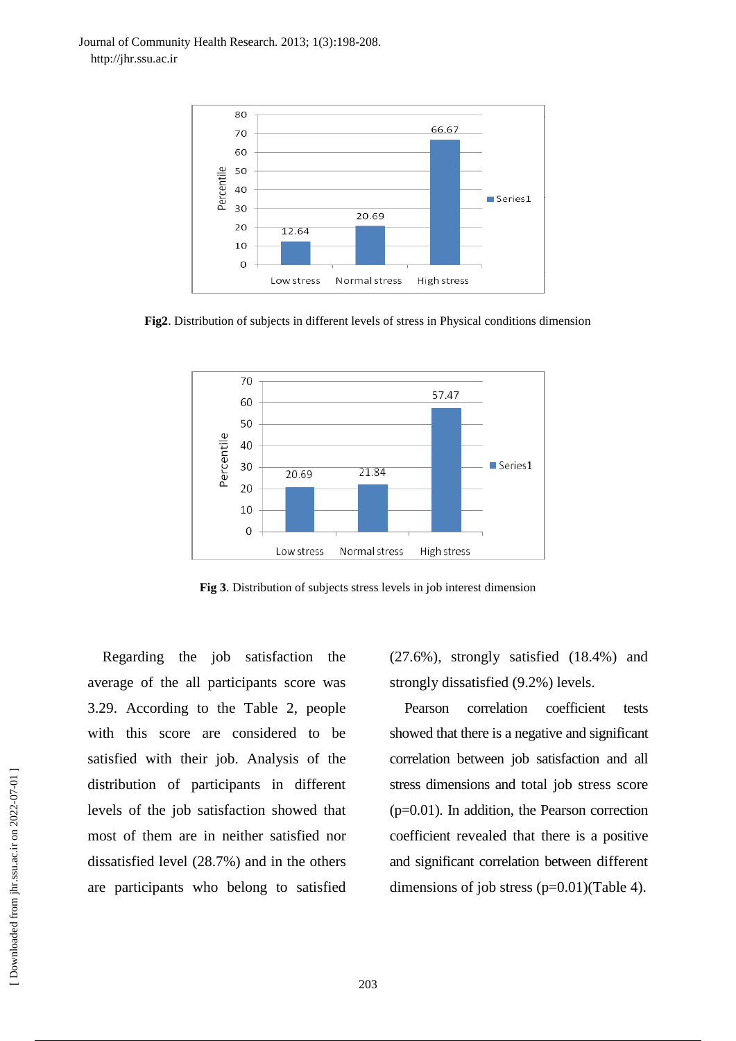

**Fig2**. Distribution of subjects in different levels of stress in Physical conditions dimension



**Fig 3**. Distribution of subjects stress levels in job interest dimension

Regarding the job satisfaction the average of the all participants score was 3.29. According to the Table 2, people with this score are considered to be satisfied with their job. Analysis of the distribution of participants in different levels of the job satisfaction showed that most of them are in neither satisfied nor dissatisfied level (28.7%) and in the others are participants who belong to satisfied

(27.6%), strongly satisfied (18.4%) and strongly dissatisfied (9.2%) levels.

Pearson correlation coefficient tests showed that there is a negative and significant correlation between job satisfaction and all stress dimensions and total job stress score (p=0.01). In addition, the Pearson correction coefficient revealed that there is a positive and significant correlation between different dimensions of job stress  $(p=0.01)$ (Table 4).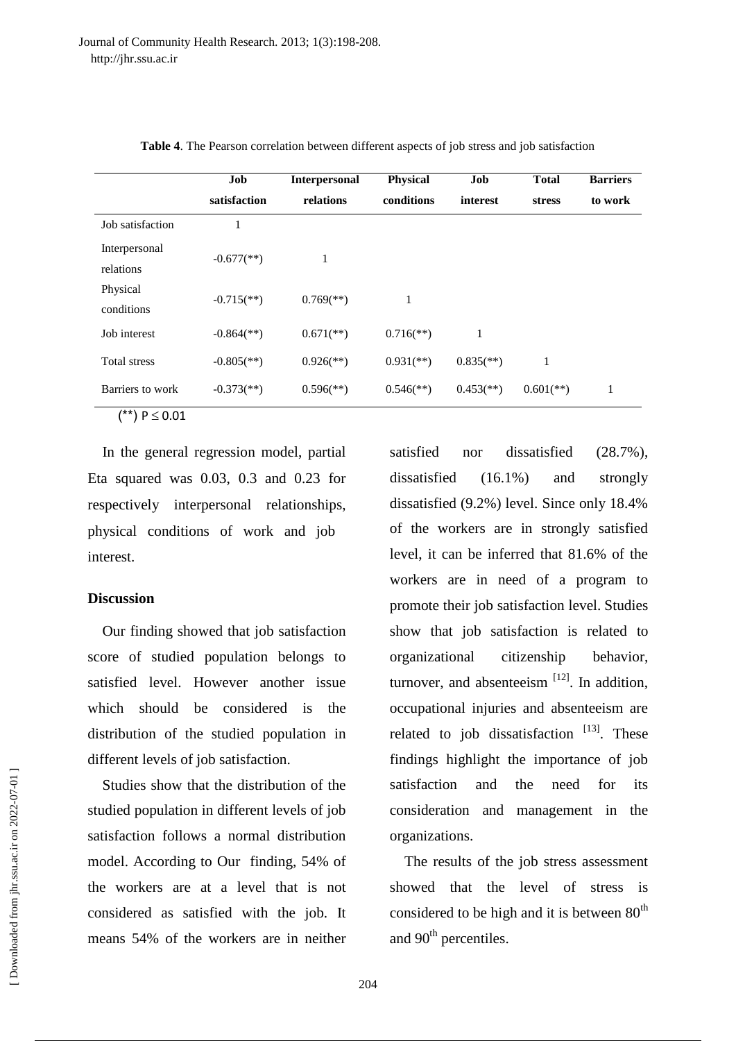|                  | Job                        | <b>Interpersonal</b>      | <b>Physical</b>           | Job                       | <b>Total</b>              | <b>Barriers</b> |  |
|------------------|----------------------------|---------------------------|---------------------------|---------------------------|---------------------------|-----------------|--|
|                  | satisfaction               | relations                 | conditions                | interest                  | stress                    | to work         |  |
| Job satisfaction |                            |                           |                           |                           |                           |                 |  |
| Interpersonal    | $-0.677$ <sup>**</sup> )   | 1                         |                           |                           |                           |                 |  |
| relations        |                            |                           |                           |                           |                           |                 |  |
| Physical         | $-0.715$ <sup>**</sup> )   | $0.769$ <sup>**</sup> )   | 1                         |                           |                           |                 |  |
| conditions       |                            |                           |                           |                           |                           |                 |  |
| Job interest     | $-0.864$ <sup>(**)</sup> ) | $0.671$ <sup>**</sup> )   | $0.716$ <sup>**</sup> )   | 1                         |                           |                 |  |
| Total stress     | $-0.805$ <sup>(**)</sup> ) | $0.926$ <sup>(**)</sup> ) | $0.931$ <sup>(**)</sup> ) | $0.835$ <sup>(**)</sup> ) | 1                         |                 |  |
| Barriers to work | $-0.373$ <sup>**</sup> )   | $0.596$ <sup>(**)</sup> ) | $0.546$ <sup>**</sup> )   | $0.453$ <sup>(**)</sup> ) | $0.601$ <sup>(**)</sup> ) | 1               |  |

**Table 4**. The Pearson correlation between different aspects of job stress and job satisfaction

 $(**) P \le 0.01$ 

In the general regression model, partial Eta squared was 0.03, 0.3 and 0.23 for respectively interpersonal relationships, physical conditions of work and job interest.

### **Discussion**

Our finding showed that job satisfaction score of studied population belongs to satisfied level. However another issue which should be considered is the distribution of the studied population in different levels of job satisfaction.

Studies show that the distribution of the studied population in different levels of job satisfaction follows a normal distribution model. According to Our finding, 54% of the workers are at a level that is not considered as satisfied with the job. It means 54% of the workers are in neither satisfied nor dissatisfied  $(28.7\%)$ , dissatisfied (16.1%) and strongly dissatisfied (9.2%) level. Since only 18.4% of the workers are in strongly satisfied level, it can be inferred that 81.6% of the workers are in need of a program to promote their job satisfaction level. Studies show that job satisfaction is related to organizational citizenship behavior, turnover, and absenteeism  $[12]$ . In addition, occupational injuries and absenteeism are related to job dissatisfaction  $[13]$ . These findings highlight the importance of job satisfaction and the need for its consideration and management in the organizations.

The results of the job stress assessment showed that the level of stress is considered to be high and it is between  $80<sup>th</sup>$ and  $90<sup>th</sup>$  percentiles.

 [\[ Downloaded from jhr.ssu.ac.ir on 2022-0](https://jhr.ssu.ac.ir/article-1-67-en.html)7-01 ] Downloaded from jhr.ssu.ac.ir on 2022-07-01]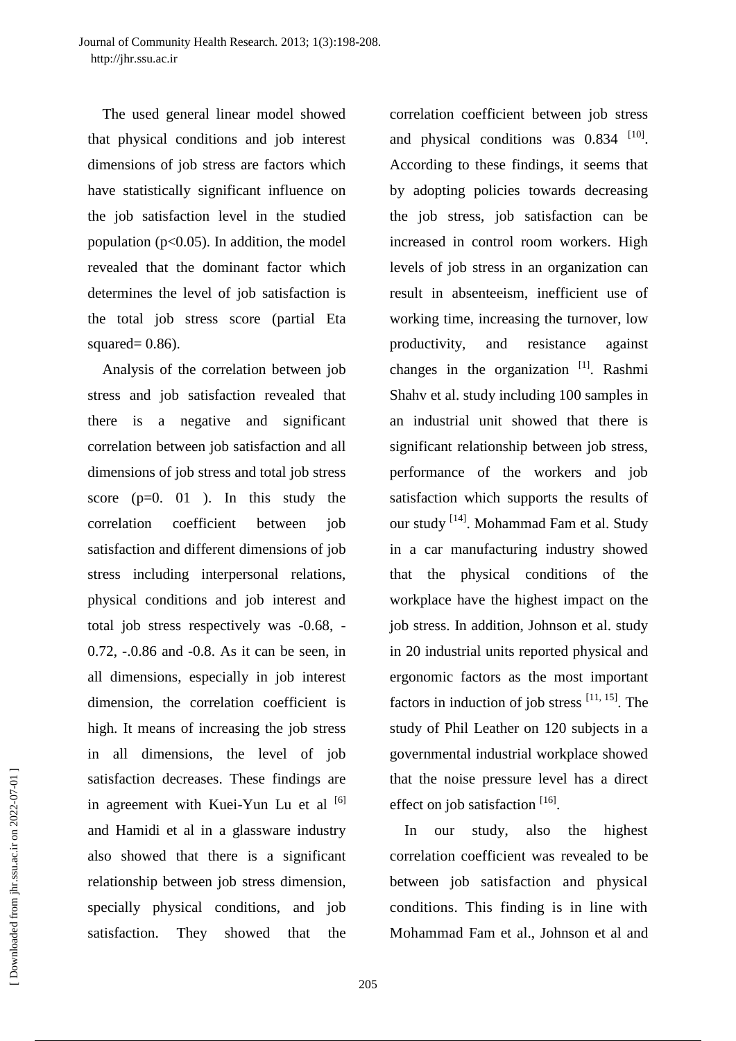The used general linear model showed that physical conditions and job interest dimensions of job stress are factors which have statistically significant influence on the job satisfaction level in the studied population ( $p<0.05$ ). In addition, the model revealed that the dominant factor which determines the level of job satisfaction is the total job stress score (partial Eta squared $= 0.86$ ).

Analysis of the correlation between job stress and job satisfaction revealed that there is a negative and significant correlation between job satisfaction and all dimensions of job stress and total job stress score  $(p=0, 01)$ . In this study the correlation coefficient between job satisfaction and different dimensions of job stress including interpersonal relations, physical conditions and job interest and total job stress respectively was -0.68, - 0.72, -.0.86 and -0.8. As it can be seen, in all dimensions, especially in job interest dimension, the correlation coefficient is high. It means of increasing the job stress in all dimensions, the level of job satisfaction decreases. These findings are in agreement with Kuei-Yun Lu et al  $\left[6\right]$ and Hamidi et al in a glassware industry also showed that there is a significant relationship between job stress dimension, specially physical conditions, and job satisfaction. They showed that the

correlation coefficient between job stress and physical conditions was  $0.834$ <sup>[10]</sup>. According to these findings, it seems that by adopting policies towards decreasing the job stress, job satisfaction can be increased in control room workers. High levels of job stress in an organization can result in absenteeism, inefficient use of working time, increasing the turnover, low productivity, and resistance against changes in the organization<sup>[1]</sup>. Rashmi Shahv et al. study including 100 samples in an industrial unit showed that there is significant relationship between job stress, performance of the workers and job satisfaction which supports the results of our study <sup>[14]</sup>. Mohammad Fam et al. Study in a car manufacturing industry showed that the physical conditions of the workplace have the highest impact on the job stress. In addition, Johnson et al. study in 20 industrial units reported physical and ergonomic factors as the most important factors in induction of job stress  $[11, 15]$ . The study of Phil Leather on 120 subjects in a governmental industrial workplace showed that the noise pressure level has a direct effect on job satisfaction  $[16]$ .

In our study, also the highest correlation coefficient was revealed to be between job satisfaction and physical conditions. This finding is in line with Mohammad Fam et al., Johnson et al and

 [\[ Downloaded from jhr.ssu.ac.ir on 2022-0](https://jhr.ssu.ac.ir/article-1-67-en.html)7-01 ] Downloaded from jhr.ssu.ac.ir on 2022-07-01]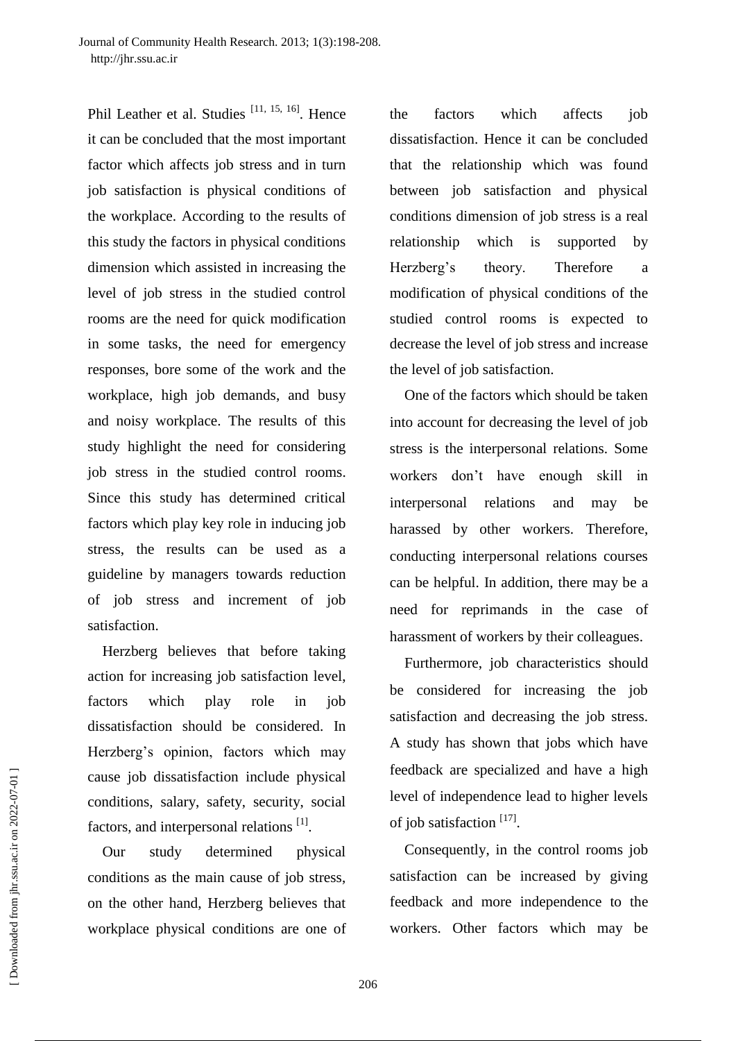Phil Leather et al. Studies<sup>[11, 15, 16]</sup>. Hence it can be concluded that the most important factor which affects job stress and in turn job satisfaction is physical conditions of the workplace. According to the results of this study the factors in physical conditions dimension which assisted in increasing the level of job stress in the studied control rooms are the need for quick modification in some tasks, the need for emergency responses, bore some of the work and the workplace, high job demands, and busy and noisy workplace. The results of this study highlight the need for considering job stress in the studied control rooms. Since this study has determined critical factors which play key role in inducing job stress, the results can be used as a guideline by managers towards reduction of job stress and increment of job satisfaction.

Herzberg believes that before taking action for increasing job satisfaction level, factors which play role in job dissatisfaction should be considered. In Herzberg's opinion, factors which may cause job dissatisfaction include physical conditions, salary, safety, security, social factors, and interpersonal relations [1].

Our study determined physical conditions as the main cause of job stress, on the other hand, Herzberg believes that workplace physical conditions are one of the factors which affects job dissatisfaction. Hence it can be concluded that the relationship which was found between job satisfaction and physical conditions dimension of job stress is a real relationship which is supported by Herzberg's theory. Therefore a modification of physical conditions of the studied control rooms is expected to decrease the level of job stress and increase the level of job satisfaction.

One of the factors which should be taken into account for decreasing the level of job stress is the interpersonal relations. Some workers don't have enough skill in interpersonal relations and may be harassed by other workers. Therefore, conducting interpersonal relations courses can be helpful. In addition, there may be a need for reprimands in the case of harassment of workers by their colleagues.

Furthermore, job characteristics should be considered for increasing the job satisfaction and decreasing the job stress. A study has shown that jobs which have feedback are specialized and have a high level of independence lead to higher levels of job satisfaction<sup>[17]</sup>.

Consequently, in the control rooms job satisfaction can be increased by giving feedback and more independence to the workers. Other factors which may be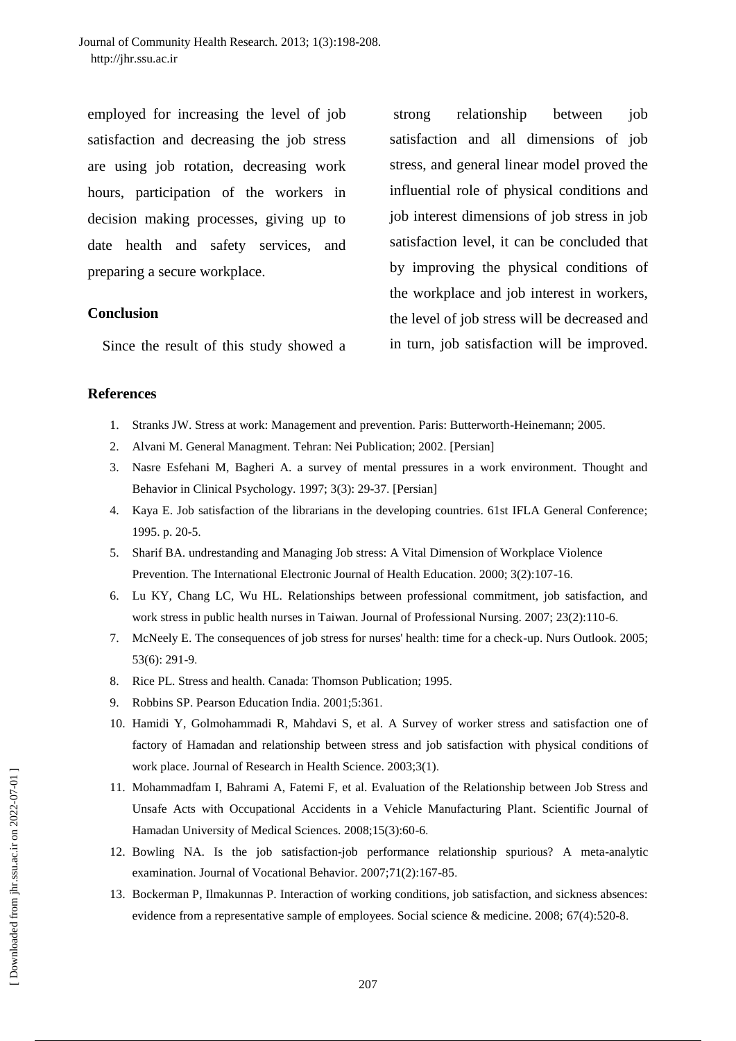employed for increasing the level of job satisfaction and decreasing the job stress are using job rotation, decreasing work hours, participation of the workers in decision making processes, giving up to date health and safety services, and preparing a secure workplace.

# **Conclusion**

Since the result of this study showed a

strong relationship between job satisfaction and all dimensions of job stress, and general linear model proved the influential role of physical conditions and job interest dimensions of job stress in job satisfaction level, it can be concluded that by improving the physical conditions of the workplace and job interest in workers, the level of job stress will be decreased and in turn, job satisfaction will be improved.

# **References**

- 1. Stranks JW. Stress at work: Management and prevention. Paris: Butterworth-Heinemann; 2005.
- 2. Alvani M. General Managment. Tehran: Nei Publication; 2002. [Persian]
- 3. Nasre Esfehani M, Bagheri A. a survey of mental pressures in a work environment. Thought and Behavior in Clinical Psychology. 1997; 3(3): 29-37. [Persian]
- 4. Kaya E. Job satisfaction of the librarians in the developing countries. 61st IFLA General Conference; 1995. p. 20-5.
- 5. Sharif BA. undrestanding and Managing Job stress: A Vital Dimension of Workplace Violence Prevention. The International Electronic Journal of Health Education. 2000; 3(2):107-16.
- 6. Lu KY, Chang LC, Wu HL. Relationships between professional commitment, job satisfaction, and work stress in public health nurses in Taiwan. Journal of Professional Nursing. 2007; 23(2):110-6.
- 7. McNeely E. The consequences of job stress for nurses' health: time for a check-up. [Nurs Outlook.](http://www.ncbi.nlm.nih.gov/pubmed/16360700) 2005; 53(6): 291-9.
- 8. Rice PL. Stress and health. Canada: Thomson Publication; 1995.
- 9. Robbins SP. Pearson Education India. 2001;5:361.
- 10. Hamidi Y, Golmohammadi R, Mahdavi S, et al. A Survey of worker stress and satisfaction one of factory of Hamadan and relationship between stress and job satisfaction with physical conditions of work place. Journal of Research in Health Science. 2003;3(1).
- 11. Mohammadfam I, Bahrami A, Fatemi F, et al. Evaluation of the Relationship between Job Stress and Unsafe Acts with Occupational Accidents in a Vehicle Manufacturing Plant. Scientific Journal of Hamadan University of Medical Sciences. 2008;15(3):60-6.
- 12. Bowling NA. Is the job satisfaction-job performance relationship spurious? A meta-analytic examination. Journal of Vocational Behavior. 2007;71(2):167-85.
- 13. Bockerman P, Ilmakunnas P. Interaction of working conditions, job satisfaction, and sickness absences: evidence from a representative sample of employees. Social science & medicine. 2008; 67(4):520-8.